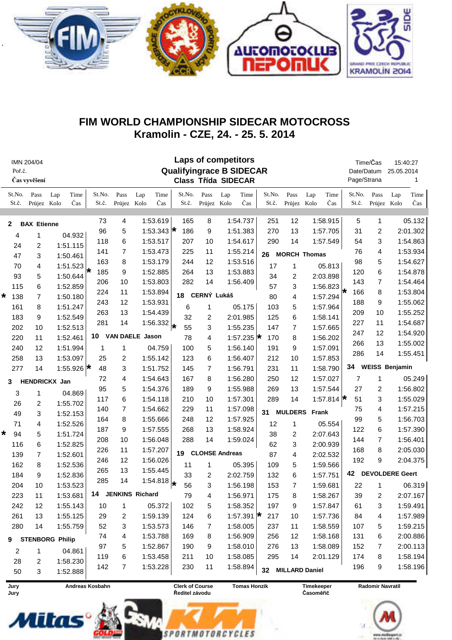

## FIM WORLD CHAMPIONSHIP SIDECAR MOTOCROSS Kramolin - CZE, 24. - 25. 5. 2014

| IMN 204/04<br>Poř.č.<br>Čas vyvěšení |                 |                     | <b>Laps of competitors</b><br><b>Qualifyingrace B SIDECAR</b><br><b>Class Třída SIDECAR</b> |                 |                                           |          |                  |                 |                |                       |                  |                                                              |                       |                     |                  |                 | Time/Čas<br>Date/Datum<br>Page/Strana |                        | 15:40:27<br>25.05.2014<br>1 |  |
|--------------------------------------|-----------------|---------------------|---------------------------------------------------------------------------------------------|-----------------|-------------------------------------------|----------|------------------|-----------------|----------------|-----------------------|------------------|--------------------------------------------------------------|-----------------------|---------------------|------------------|-----------------|---------------------------------------|------------------------|-----------------------------|--|
|                                      | St.No.<br>St.č. | Pass<br>Průjez Kolo | Time<br>Lap<br>Čas                                                                          | St.No.<br>St.č. | Pass<br>Průjez Kolo                       | Lap      | Time<br>Čas      | St.No.<br>St.č. | Pass<br>Průjez | Lap<br>Kolo           | Time<br>Čas      | St.No.<br>St.č.                                              | Pass<br>Průjez        | Lap<br>Kolo         | Time<br>Čas      | St.No.<br>St.č. | Pass<br>Průjez                        | Lap<br>Kolo            | Time<br>Čas                 |  |
| <b>BAX Etienne</b><br>$\mathbf{2}$   |                 |                     |                                                                                             | 73              | 4                                         | 1:53.619 |                  | 165             | 8              |                       | 1:54.737         | 251                                                          | 12                    |                     | 1:58.915         | 5               | 1                                     |                        | 05.132                      |  |
|                                      | 4               | 1                   | 04.932                                                                                      | 96              | 5                                         |          | 1:53.343 $\star$ | 186             | 9              |                       | 1:51.383         | 270                                                          | 13                    |                     | 1:57.705         | 31              | 2                                     |                        | 2:01.302                    |  |
|                                      | 24              | 2                   | 1:51.115                                                                                    | 118             | 6                                         | 1:53.517 |                  | 207             | 10             |                       | 1:54.617         | 290                                                          | 14                    |                     | 1:57.549         | 54              | 3                                     | 1:54.863               |                             |  |
|                                      | 47              | 3                   | 1:50.461                                                                                    | 141             | $\overline{7}$                            |          | 1:53.473         | 225             | 11             | 1:55.214              |                  | 26                                                           |                       | <b>MORCH Thomas</b> |                  | 76              | 4                                     |                        | 1:53.934                    |  |
|                                      | 70              | 4                   | 1:51.523                                                                                    | 163             | 8                                         | 1:53.179 |                  | 244             | 12             |                       | 1:53.516         | 17                                                           | 1                     |                     | 05.813           | 98              | 5                                     |                        | 1:54.627                    |  |
|                                      | 93              | 5                   | 1:50.644                                                                                    | 185<br>₩        | 9                                         | 1:52.885 |                  | 264             | 13             |                       | 1:53.883         | 34                                                           | 2                     |                     | 2:03.898         | 120             | 6                                     |                        | 1:54.878                    |  |
|                                      | 115             | 6                   | 1:52.859                                                                                    | 206             | 10                                        | 1:53.803 |                  | 282             | 14             |                       | 1:56.409         | 57                                                           | 3                     |                     | 1:56.823         | 143             | 7                                     |                        | 1:54.464                    |  |
| *                                    | 7<br>138        |                     | 1:50.180                                                                                    | 224             | 11                                        |          | 1:53.894         | 18              | CERNÝ Lukáš    |                       |                  | 80                                                           | 4                     | 1:57.294            |                  | 166             | 8                                     |                        | 1:53.804                    |  |
|                                      | 161             | 8                   | 1:51.247                                                                                    | 243             | 12                                        | 1:53.931 |                  | 6               | 1              |                       | 05.175           | 103                                                          | 5                     |                     | 1:57.964         | 188             | 9                                     |                        | 1:55.062                    |  |
|                                      | 183             | 9                   | 1:52.549                                                                                    | 263             | 13                                        | 1:54.439 |                  | 32              | 2              |                       | 2:01.985         | 125                                                          | 6                     |                     | 1:58.141         | 209             | 10                                    |                        | 1:55.252                    |  |
|                                      | 202             | 10                  | 1:52.513                                                                                    | 281             | 14                                        |          | 1:56.332         | 55              | 3              |                       | 1:55.235         | 147                                                          | 7                     |                     | 1:57.665         | 227             | 11                                    |                        | 1:54.687                    |  |
|                                      | 220             | 11                  | 1:52.461                                                                                    | 10              | <b>VAN DAELE Jason</b>                    |          |                  | 78              | 4              |                       | 1:57.235 $\star$ | 170                                                          | 8                     |                     | 1:56.202         | 247             | 12                                    |                        | 1:54.920                    |  |
|                                      | 240             | 12                  | 1:51.994                                                                                    | 1               | 1                                         |          | 04.759           | 100             | 5              |                       | 1:56.140         | 191                                                          | 9                     |                     | 1:57.091         | 266             | 13                                    |                        | 1:55.002                    |  |
|                                      | 258             | 13                  | 1:53.097                                                                                    | 25              | 2                                         | 1:55.142 |                  | 123             | 6              |                       | 1:56.407         | 212                                                          | 10                    |                     | 1:57.853         | 286             | 14                                    |                        | 1:55.451                    |  |
|                                      | 277             | 14                  | 1:55.926 $\star$                                                                            | 48              | 3                                         | 1:51.752 |                  | 145             | 7              |                       | 1:56.791         | 231                                                          | 11                    |                     | 1:58.790         | 34              |                                       | <b>WEISS Benjamin</b>  |                             |  |
|                                      |                 |                     |                                                                                             | 72              | 4                                         | 1:54.643 |                  | 167             | 8              |                       | 1:56.280         | 250                                                          | 12                    |                     | 1:57.027         | 7               | 1                                     |                        | 05.249                      |  |
| 3                                    |                 |                     | HENDRICKX Jan                                                                               | 95              | 5                                         | 1:54.376 |                  | 189             | 9              |                       | 1:55.988         | 269                                                          | 13                    |                     | 1:57.544         | 27              | 2                                     |                        | 1:56.802                    |  |
|                                      | 3               | 1                   | 04.869                                                                                      | 117             | 6                                         | 1:54.118 |                  | 210             | 10             |                       | 1:57.301         | 289                                                          | 14                    |                     | 1:57.814 $\star$ | 51              | 3                                     |                        | 1:55.029                    |  |
|                                      | 26              | 2                   | 1:55.702                                                                                    | 140             | $\overline{7}$                            | 1:54.662 |                  | 229             | 11             |                       | 1:57.098         |                                                              |                       |                     |                  | 75              | 4                                     |                        | 1:57.215                    |  |
|                                      | 49              | 3                   | 1:52.153                                                                                    | 164             | 8                                         | 1:55.666 |                  | 248             | 12             |                       | 1:57.925         | 31                                                           | <b>MULDERS</b>        | Frank               |                  | 99              | 5                                     |                        | 1:56.703                    |  |
|                                      | 71              | 4                   | 1:52.526                                                                                    | 187             | 9                                         | 1:57.555 |                  | 268             | 13             |                       | 1:58.924         | 12                                                           | 1                     |                     | 05.554           | 122             | 6                                     |                        | 1:57.390                    |  |
|                                      | 94              | 5                   | 1:51.724                                                                                    | 208             | 10                                        | 1:56.048 |                  | 288             | 14             |                       | 1:59.024         | 38                                                           | 2                     |                     | 2:07.643         | 144             | 7                                     |                        | 1:56.401                    |  |
|                                      | 116             | 6                   | 1:52.825                                                                                    | 226             | 11                                        | 1:57.207 |                  |                 |                |                       |                  | 62                                                           | 3                     |                     | 2:00.939         | 168             | 8                                     |                        | 2:05.030                    |  |
|                                      | 139<br>7        |                     | 1:52.601                                                                                    | 246             | 12                                        |          | 1:56.026         | 19              |                | <b>CLOHSE Andreas</b> |                  | 87                                                           | 4                     | 2:02.532            |                  | 192             | 9                                     |                        | 2:04.375                    |  |
|                                      | 162             | 8                   | 1:52.536                                                                                    | 265             | 13                                        | 1:55.445 |                  | 11              | 1              |                       | 05.395           | 109                                                          | 5                     |                     | 1:59.566         |                 |                                       |                        |                             |  |
|                                      | 184             | 9                   | 1:52.836                                                                                    | 285             | 14                                        |          | 1:54.818         | 33              | 2              |                       | 2:02.759         | 132                                                          | 6                     |                     | 1:57.751         | 42              |                                       | <b>DEVOLDERE Geert</b> |                             |  |
|                                      | 204             | 10                  | 1:53.523                                                                                    |                 |                                           |          |                  | l*<br>56        | 3              |                       | 1:56.198         | 153                                                          | $\overline{7}$        |                     | 1:59.681         | 22              | 1                                     |                        | 06.319                      |  |
|                                      | 223             | 11                  | 1:53.681                                                                                    | 14              | <b>JENKINS Richard</b>                    |          |                  | 79              | 4              |                       | 1:56.971         | 175                                                          | 8                     |                     | 1:58.267         | 39              | 2                                     |                        | 2:07.167                    |  |
|                                      | 242             | 12                  | 1:55.143                                                                                    | 10              | 1                                         |          | 05.372           | 102             | 5              |                       | 1:58.352         | 197                                                          | 9                     |                     | 1:57.847         | 61              | 3                                     |                        | 1:59.491                    |  |
|                                      | 261             | 13                  | 1:55.125                                                                                    | 29              | 2                                         |          | 1:59.139         | 124             | 6              |                       | 1:57.391 $\star$ | 217                                                          | 10                    |                     | 1:57.736         | 84              | 4                                     |                        | 1:57.989                    |  |
|                                      | 280             | 14                  | 1:55.759                                                                                    | 52              | 3                                         |          | 1:53.573         | 146             | 7              |                       | 1:58.005         | 237                                                          | 11                    |                     | 1:58.559         | 107             | 5                                     |                        | 1:59.215                    |  |
| 9                                    |                 |                     | <b>STENBORG Philip</b>                                                                      | 74              | 4                                         |          | 1:53.788         | 169             | 8              |                       | 1:56.909         | 256                                                          | 12                    |                     | 1:58.168         | 131             | 6                                     |                        | 2:00.886                    |  |
|                                      | 2               | 1                   | 04.861                                                                                      | 97              | 5                                         |          | 1:52.867         | 190             | 9              |                       | 1:58.010         | 276                                                          | 13                    |                     | 1:58.089         | 152             | 7                                     |                        | 2:00.113                    |  |
|                                      | 28              | $\overline{c}$      | 1:58.230                                                                                    | 119             | 6                                         |          | 1:53.458         | 211             | 10             |                       | 1:58.085         | 295                                                          | 14                    |                     | 2:01.129         | 174             | 8                                     |                        | 1:58.194                    |  |
|                                      | 50              | 3                   | 1:52.888                                                                                    | 142             | 7                                         |          | 1:53.228         | 230             | 11             |                       | 1:58.894         | 32                                                           | <b>MILLARD Daniel</b> |                     |                  | 196             | 9                                     |                        | 1:58.196                    |  |
| Jury                                 |                 |                     |                                                                                             |                 | <b>Clerk of Course</b><br>Andreas Kosbahn |          |                  |                 |                |                       |                  | <b>Tomas Honzik</b><br><b>Timekeeper</b><br>Radomir Navratil |                       |                     |                  |                 |                                       |                        |                             |  |

Jury Jury



**Clerk of Course** Ředitel závodu

**SPORTMOTORCYCLES** 

**Tomas Honzik** 

Timekeeper Časoměřič

Radomir Navratil